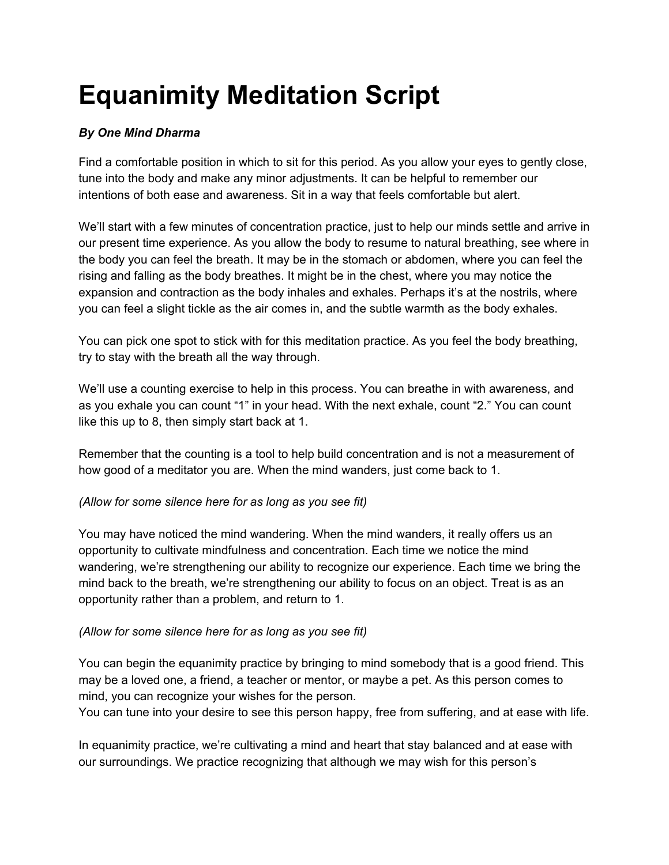# **Equanimity Meditation Script**

## *By One Mind Dharma*

Find a comfortable position in which to sit for this period. As you allow your eyes to gently close, tune into the body and make any minor adjustments. It can be helpful to remember our intentions of both ease and awareness. Sit in a way that feels comfortable but alert.

We'll start with a few minutes of concentration practice, just to help our minds settle and arrive in our present time experience. As you allow the body to resume to natural breathing, see where in the body you can feel the breath. It may be in the stomach or abdomen, where you can feel the rising and falling as the body breathes. It might be in the chest, where you may notice the expansion and contraction as the body inhales and exhales. Perhaps it's at the nostrils, where you can feel a slight tickle as the air comes in, and the subtle warmth as the body exhales.

You can pick one spot to stick with for this meditation practice. As you feel the body breathing, try to stay with the breath all the way through.

We'll use a counting exercise to help in this process. You can breathe in with awareness, and as you exhale you can count "1" in your head. With the next exhale, count "2." You can count like this up to 8, then simply start back at 1.

Remember that the counting is a tool to help build concentration and is not a measurement of how good of a meditator you are. When the mind wanders, just come back to 1.

#### *(Allow for some silence here for as long as you see fit)*

You may have noticed the mind wandering. When the mind wanders, it really offers us an opportunity to cultivate mindfulness and concentration. Each time we notice the mind wandering, we're strengthening our ability to recognize our experience. Each time we bring the mind back to the breath, we're strengthening our ability to focus on an object. Treat is as an opportunity rather than a problem, and return to 1.

#### *(Allow for some silence here for as long as you see fit)*

You can begin the equanimity practice by bringing to mind somebody that is a good friend. This may be a loved one, a friend, a teacher or mentor, or maybe a pet. As this person comes to mind, you can recognize your wishes for the person.

You can tune into your desire to see this person happy, free from suffering, and at ease with life.

In equanimity practice, we're cultivating a mind and heart that stay balanced and at ease with our surroundings. We practice recognizing that although we may wish for this person's